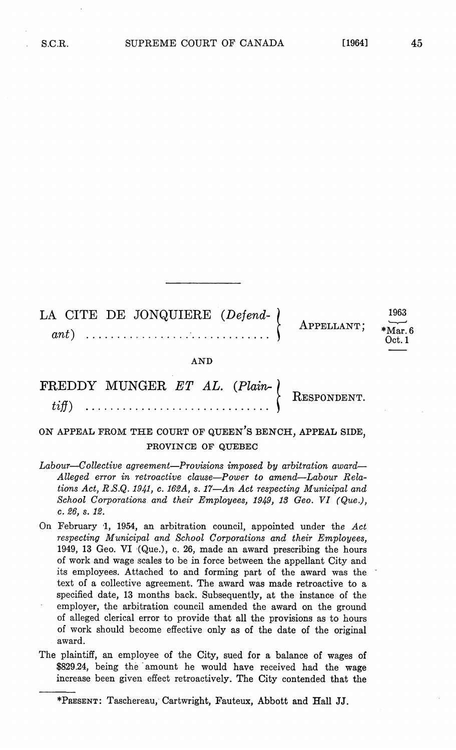LA CITE DE JONQUIERE (Defend- ) 1963  $\left\{\begin{array}{c} \text{APPELLANT;} \\ \text{Mart,} \\ \text{Oct.1} \end{array}\right.$ 

AND

## FREDDY MUNGER ET AL. (Plain-<br>  $\begin{array}{c} \n\text{FREDDY} \n\end{array}$  RESPONDEN

## ON APPEAL FROM THE COURT OF QUEEN'S BENCH, APPEAL SIDE, PROVINCE OF QUEBEC

- Labour—Collective agreement—Provisions imposed by arbitration award— Alleged error in retroactive clause-Power to amend-Labour Relations Act, R.S.Q. 1941, c. 162A, s. 17-An Act respecting Municipal and School Corporations and their Employees, 1949, 13 Geo. VI (Que.),  $c. 26, s. 12.$
- On February 1, 1954, an arbitration council, appointed under the  $Act$ respecting Municipal and School Corporations and their Employees 1949, 13 Geo. VI  $\langle$ Que.), c. 26, made an award prescribing the hours of work and wage scales to be in force between the appellant City and its employees Attached to and forming part of the award was the text of a collective agreement. The award was made retroactive to a specified date, 13 months back. Subsequently, at the instance of the employer, the arbitration council amended the award on the ground of alleged clerical error to provide that all the provisions as to hours of work should become effective only as of the date of the original award
- The plaintiff, an employee of the City, sued for a balance of wages of \$829.24, being the amount he would have received had the wage increase been given effect retroactively. The City contended that the

<sup>\*</sup>PRESENT: Taschereau, Cartwright, Fauteux, Abbott and Hall JJ.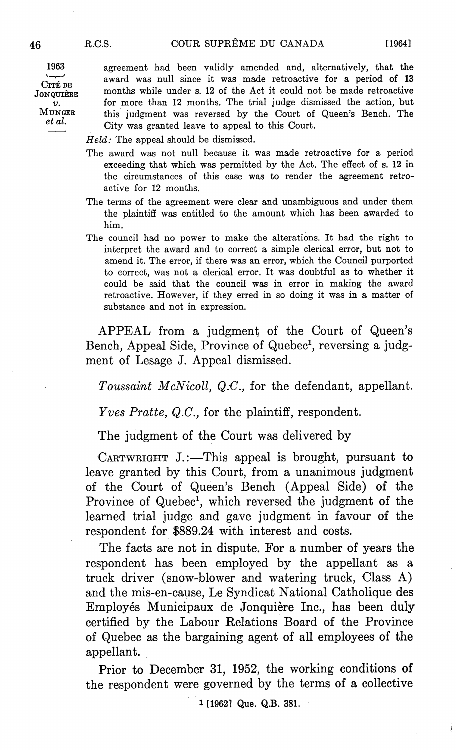ے، CITE DE  $\boldsymbol{v}$ . et al.

<sup>1963</sup> agreement had been validly amended and alternatively that the award was null since it was made retroactive for a period of 13 JONQUIÈRE months while under s. 12 of the Act it could not be made retroactive for more than 12 months. The trial judge dismissed the action, but MUNGER this judgment was reversed by the Court of Queen's Bench. The City was granted leave to appeal to this Court

 $Held$ : The appeal should be dismissed.

- The award was not null because it was made retroactive for a period exceeding that which was permitted by the Act. The effect of s. 12 in the circumstances of this case was to render the agreement retro active for <sup>12</sup> months
- The terms of the agreement were clear and unambiguous and under them the plaintiff was entitled to the amount which has been awarded to him
- The council had no power to make the alterations It had the right to interpret the award and to correct a simple clerical error, but not to amend it. The error, if there was an error, which the Council purported to correct, was not a clerical error. It was doubtful as to whether it could be said that the council was in error in making the award retroactive. However, if they erred in so doing it was in a matter of substance and not in expression

APPEAL from a judgment of the Court of Queen's Bench, Appeal Side, Province of Quebec<sup>1</sup>, reversing a judgment of Lesage J. Appeal dismissed.

Toussaint McNicoll, Q.C., for the defendant, appellant.

*Yves Pratte, Q.C.*, for the plaintiff, respondent.

The judgment of the Court was delivered by

CARTWRIGHT J.:—This appeal is brought, pursuant to leave granted by this Court, from a unanimous judgment of the Court of Queen's Bench (Appeal Side) of the Province of Quebec<sup>1</sup>, which reversed the judgment of the learned trial judge and gave judgment in favour of the respondent for \$889.24 with interest and costs

The facts are not in dispute. For a number of years the respondent has been employed by the appellant as truck driver (snow-blower and watering truck, Class  $A$ ) and the mis-en-cause, Le Syndicat National Catholique des Employés Municipaux de Jonquière Inc., has been duly certified by the Labour Relations Board of the Province of Quebec as the bargaining agent of all employees of the appellant

Prior to December 31, 1952, the working conditions of the respondent were governed by the terms of a collective

1 [1962] Que. Q.B. 381.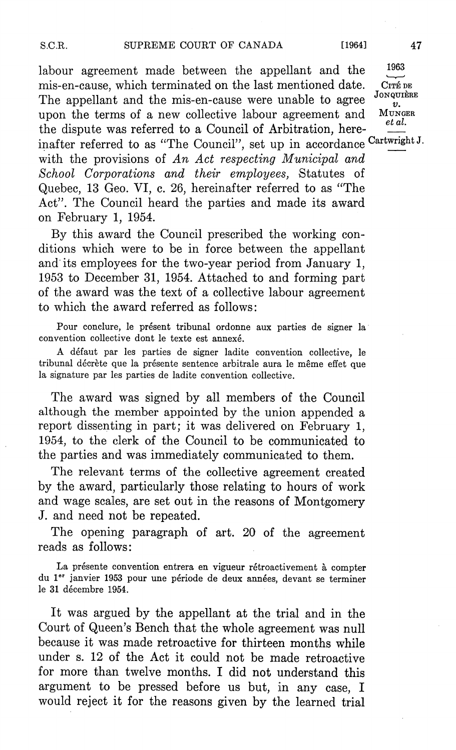labour agreement made between the appellant and the mis-en-cause, which terminated on the last mentioned date. CITEDE The appellant and the mis-en-cause were unable to agree  $\frac{JONQU}{v}$ . upon the terms of a new collective labour agreement and  $M$ UNGER the dispute was referred to a Council of Arbitration, hereinafter referred to as "The Council", set up in accordance Cartwright J. with the provisions of An Act respecting Municipal and School Corporations and their employees, Statutes of Quebec, 13 Geo. VI, c. 26, hereinafter referred to as "The Act". The Council heard the parties and made its award on February 1, 1954.

By this award the Council prescribed the working con ditions which were to be in force between the appellant and its employees for the two-year period from January 1, 1953 to December 31, 1954. Attached to and forming part of the award was the text of a collective labour agreement to which the award referred as follows

Pour conclure, le présent tribunal ordonne aux parties de signer la convention collective dont le texte est annexé.

A défaut par les parties de signer ladite convention collective, le tribunal décrète que la présente sentence arbitrale aura le même effet que la signature par les parties de ladite convention collective.

The award was signed by all members of the Council although the member appointed by the union appended report dissenting in part; it was delivered on February 1, 1954, to the clerk of the Council to be communicated to the parties and was immediately communicated to them

The relevant terms of the collective agreement created by the award, particularly those relating to hours of work and wage scales, are set out in the reasons of Montgomery J. and need not be repeated.

The opening paragraph of art. 20 of the agreement reads as follows

La présente convention entrera en vigueur rétroactivement à compter du 1<sup>er</sup> janvier 1953 pour une période de deux années, devant se terminer le 31 décembre 1954.

It was argued by the appellant at the trial and in the Court of Queen's Bench that the whole agreement was null because it was made retroactive for thirteen months while under <sup>12</sup> of the Act it could not be made retroactive for more than twelve months. I did not understand this argument to be pressed before us but, in any case, I would reject it for the reasons given by the learned trial

1963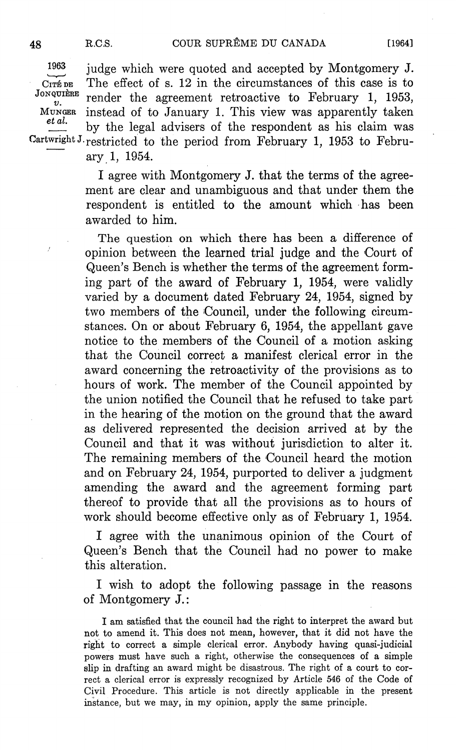$1963$  judge which were quoted and accepted by Montgomery J. CITÉDE The effect of s. 12 in the circumstances of this case is to Jonquière render the agreement retroactive to February 1, 1953,  $M$ UNGER instead of to January 1. This view was apparently taken et al. by the legal advisers of the respondent as his claim was Cartwright J. restricted to the period from February 1, 1953 to February 1, 1954.

> I agree with Montgomery J. that the terms of the agreement are clear and unambiguous and that under them the respondent is entitled to the amount which has been awarded to him

> The question on which there has been a difference of opinion between the learned trial judge and the Court of Queen's Bench is whether the terms of the agreement forming part of the award of February 1, 1954, were validly varied by a document dated February 24, 1954, signed by two members of the Council, under the following circumstances. On or about February 6, 1954, the appellant gave notice to the members of the Council of a motion asking that the Council correct a manifest clerical error in the award concerning the retroactivity of the provisions as to hours of work. The member of the Council appointed by the union notified the Council that he refused to take part in the hearing of the motion on the ground that the award as delivered represented the decision arrived at by the Council and that it was without jurisdiction to alter it The remaining members of the Council heard the motion and on February 24, 1954, purported to deliver a judgment amending the award and the agreement forming part thereof to provide that all the provisions as to hours of work should become effective only as of February 1, 1954.

> agree with the unanimous opinion of the Court of Queen's Bench that the Council had no power to make this alteration

> wish to adopt the following passage in the reasons of Montgomery

> I am satisfied that the council had the right to interpret the award but not to amend it. This does not mean, however, that it did not have the right to correct a simple clerical error. Anybody having quasi-judicial powers must have such a right, otherwise the consequences of a simple slip in drafting an award might be disastrous. The right of a court to correct a clerical error is expressly recognized by Article 546 of the Code of Civil Procedure. This article is not directly applicable in the present instance, but we may, in my opinion, apply the same principle.